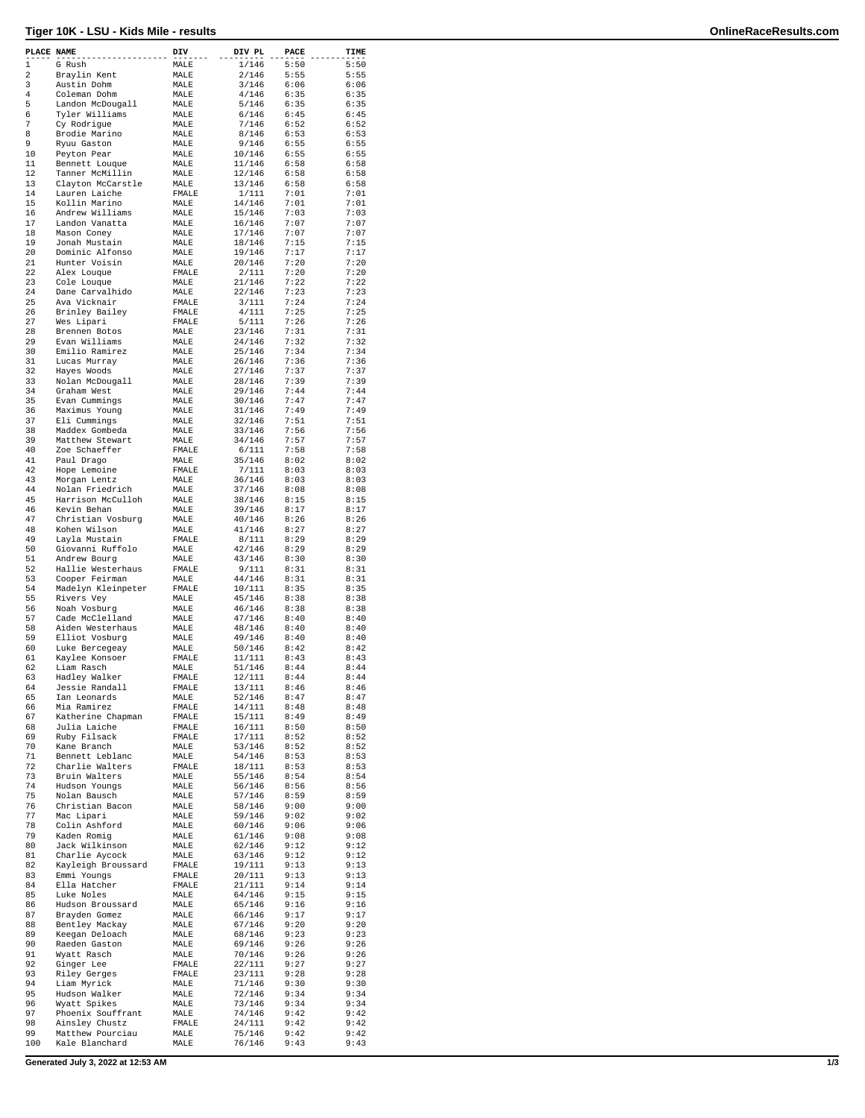## **Tiger 10K - LSU - Kids Mile - results OnlineRaceResults.com**

| PLACE NAME  |                    | DIV          | DIV PL | PACE | TIME |
|-------------|--------------------|--------------|--------|------|------|
| $\mathbf 1$ | G Rush             | MALE         | 1/146  | 5:50 | 5:50 |
| 2           | Braylin Kent       | MALE         | 2/146  | 5:55 | 5:55 |
| 3           | Austin Dohm        | MALE         | 3/146  | 6:06 | 6:06 |
| 4           | Coleman Dohm       | MALE         | 4/146  | 6:35 | 6:35 |
| 5           | Landon McDougall   | MALE         | 5/146  | 6:35 | 6:35 |
| 6           | Tyler Williams     | MALE         | 6/146  | 6:45 | 6:45 |
| 7           | Cy Rodrigue        | MALE         | 7/146  | 6:52 | 6:52 |
| 8           | Brodie Marino      | MALE         | 8/146  | 6:53 | 6:53 |
| 9           | Ryuu Gaston        | MALE         | 9/146  | 6:55 | 6:55 |
| 10          | Peyton Pear        | MALE         | 10/146 | 6:55 | 6:55 |
| 11          | Bennett Louque     | MALE         | 11/146 | 6:58 | 6:58 |
| 12          | Tanner McMillin    | MALE         | 12/146 | 6:58 | 6:58 |
| 13          | Clayton McCarstle  | MALE         | 13/146 | 6:58 | 6:58 |
| 14          | Lauren Laiche      | FMALE        | 1/111  | 7:01 | 7:01 |
| 15          | Kollin Marino      | MALE         | 14/146 | 7:01 | 7:01 |
| 16          | Andrew Williams    | MALE         | 15/146 | 7:03 | 7:03 |
| 17          | Landon Vanatta     | MALE         | 16/146 | 7:07 | 7:07 |
| 18          | Mason Coney        | MALE         | 17/146 | 7:07 | 7:07 |
| 19          | Jonah Mustain      | MALE         | 18/146 | 7:15 | 7:15 |
| 20          | Dominic Alfonso    |              | 19/146 | 7:17 | 7:17 |
| 21          |                    | MALE<br>MALE | 20/146 | 7:20 | 7:20 |
| 22          | Hunter Voisin      |              |        | 7:20 | 7:20 |
|             | Alex Louque        | FMALE        | 2/111  |      |      |
| 23          | Cole Louque        | MALE         | 21/146 | 7:22 | 7:22 |
| 24          | Dane Carvalhido    | MALE         | 22/146 | 7:23 | 7:23 |
| 25          | Ava Vicknair       | FMALE        | 3/111  | 7:24 | 7:24 |
| 26          | Brinley Bailey     | FMALE        | 4/111  | 7:25 | 7:25 |
| 27          | Wes Lipari         | FMALE        | 5/111  | 7:26 | 7:26 |
| 28          | Brennen Botos      | MALE         | 23/146 | 7:31 | 7:31 |
| 29          | Evan Williams      | MALE         | 24/146 | 7:32 | 7:32 |
| 30          | Emilio Ramirez     | MALE         | 25/146 | 7:34 | 7:34 |
| 31          | Lucas Murray       | MALE         | 26/146 | 7:36 | 7:36 |
| 32          | Hayes Woods        | MALE         | 27/146 | 7:37 | 7:37 |
| 33          | Nolan McDougall    | MALE         | 28/146 | 7:39 | 7:39 |
| 34          | Graham West        | MALE         | 29/146 | 7:44 | 7:44 |
| 35          | Evan Cummings      | MALE         | 30/146 | 7:47 | 7:47 |
| 36          | Maximus Young      | MALE         | 31/146 | 7:49 | 7:49 |
| 37          | Eli Cummings       | MALE         | 32/146 | 7:51 | 7:51 |
| 38          | Maddex Gombeda     | MALE         | 33/146 | 7:56 | 7:56 |
| 39          | Matthew Stewart    | MALE         | 34/146 | 7:57 | 7:57 |
| 40          | Zoe Schaeffer      | FMALE        | 6/111  | 7:58 | 7:58 |
| 41          | Paul Drago         | MALE         | 35/146 | 8:02 | 8:02 |
| 42          | Hope Lemoine       | FMALE        | 7/111  | 8:03 | 8:03 |
| 43          | Morgan Lentz       | MALE         | 36/146 | 8:03 | 8:03 |
| 44          | Nolan Friedrich    | MALE         | 37/146 | 8:08 | 8:08 |
| 45          | Harrison McCulloh  | MALE         | 38/146 | 8:15 | 8:15 |
| 46          | Kevin Behan        | MALE         | 39/146 | 8:17 | 8:17 |
| 47          | Christian Vosburg  | MALE         | 40/146 | 8:26 | 8:26 |
| 48          | Kohen Wilson       | MALE         | 41/146 | 8:27 | 8:27 |
| 49          | Layla Mustain      | FMALE        | 8/111  | 8:29 | 8:29 |
| 50          | Giovanni Ruffolo   | MALE         | 42/146 | 8:29 | 8:29 |
| 51          | Andrew Bourg       | MALE         | 43/146 | 8:30 | 8:30 |
| 52          | Hallie Westerhaus  | FMALE        | 9/111  | 8:31 | 8:31 |
| 53          | Cooper Feirman     | MALE         | 44/146 | 8:31 | 8:31 |
| 54          | Madelyn Kleinpeter | FMALE        | 10/111 | 8:35 | 8:35 |
| 55          | Rivers Vey         | MALE         | 45/146 | 8:38 | 8:38 |
| 56          | Noah Vosburg       | MALE         | 46/146 | 8:38 | 8:38 |
| 57          | Cade McClelland    | MALE         | 47/146 | 8:40 | 8:40 |
| 58          | Aiden Westerhaus   | MALE         | 48/146 | 8:40 | 8:40 |
| 59          | Elliot Vosburg     | MALE         | 49/146 | 8:40 | 8:40 |
| 60          | Luke Bercegeay     | MALE         | 50/146 | 8:42 | 8:42 |
| 61          | Kaylee Konsoer     | FMALE        | 11/111 | 8:43 | 8:43 |
| 62          | Liam Rasch         | MALE         | 51/146 | 8:44 | 8:44 |
| 63          | Hadley Walker      | FMALE        | 12/111 | 8:44 | 8:44 |
| 64          | Jessie Randall     | FMALE        | 13/111 | 8:46 | 8:46 |
| 65          | Ian Leonards       | MALE         | 52/146 | 8:47 | 8:47 |
| 66          | Mia Ramirez        | FMALE        | 14/111 | 8:48 | 8:48 |
| 67          | Katherine Chapman  | FMALE        | 15/111 | 8:49 | 8:49 |
| 68          | Julia Laiche       | FMALE        | 16/111 | 8:50 | 8:50 |
| 69          | Ruby Filsack       | FMALE        | 17/111 | 8:52 | 8:52 |
| 70          | Kane Branch        | MALE         | 53/146 | 8:52 | 8:52 |
| 71          | Bennett Leblanc    | MALE         | 54/146 | 8:53 | 8:53 |
| 72          | Charlie Walters    | FMALE        | 18/111 | 8:53 | 8:53 |
| 73          | Bruin Walters      | MALE         | 55/146 | 8:54 | 8:54 |
| 74          | Hudson Youngs      | MALE         | 56/146 | 8:56 | 8:56 |
| 75          | Nolan Bausch       | MALE         | 57/146 | 8:59 | 8:59 |
| 76          | Christian Bacon    | MALE         | 58/146 | 9:00 | 9:00 |
| 77          | Mac Lipari         | MALE         | 59/146 | 9:02 | 9:02 |
| 78          | Colin Ashford      | MALE         | 60/146 | 9:06 | 9:06 |
| 79          | Kaden Romig        | MALE         | 61/146 | 9:08 | 9:08 |
| 80          | Jack Wilkinson     | MALE         | 62/146 | 9:12 | 9:12 |
| 81          | Charlie Aycock     | MALE         | 63/146 | 9:12 | 9:12 |
| 82          | Kayleigh Broussard | FMALE        | 19/111 | 9:13 | 9:13 |
| 83          | Emmi Youngs        | FMALE        | 20/111 | 9:13 | 9:13 |
| 84          | Ella Hatcher       | FMALE        | 21/111 | 9:14 | 9:14 |
| 85          | Luke Noles         | MALE         | 64/146 | 9:15 | 9:15 |
| 86          | Hudson Broussard   | MALE         | 65/146 | 9:16 | 9:16 |
| 87          | Brayden Gomez      | MALE         | 66/146 | 9:17 | 9:17 |
| 88          | Bentley Mackay     | MALE         | 67/146 | 9:20 | 9:20 |
| 89          | Keegan Deloach     | MALE         | 68/146 | 9:23 | 9:23 |
| 90          | Raeden Gaston      | MALE         | 69/146 | 9:26 | 9:26 |
| 91          | Wyatt Rasch        | MALE         | 70/146 | 9:26 | 9:26 |
| 92          | Ginger Lee         | FMALE        | 22/111 | 9:27 | 9:27 |
| 93          | Riley Gerges       | FMALE        | 23/111 | 9:28 | 9:28 |
| 94          | Liam Myrick        | MALE         | 71/146 | 9:30 | 9:30 |
| 95          | Hudson Walker      | MALE         | 72/146 | 9:34 | 9:34 |
| 96          | Wyatt Spikes       | MALE         | 73/146 | 9:34 | 9:34 |
| 97          | Phoenix Souffrant  | MALE         | 74/146 | 9:42 | 9:42 |
| 98          | Ainsley Chustz     | FMALE        | 24/111 | 9:42 | 9:42 |
| 99          | Matthew Pourciau   | MALE         | 75/146 | 9:42 | 9:42 |
| 100         | Kale Blanchard     | MALE         | 76/146 | 9:43 | 9:43 |
|             |                    |              |        |      |      |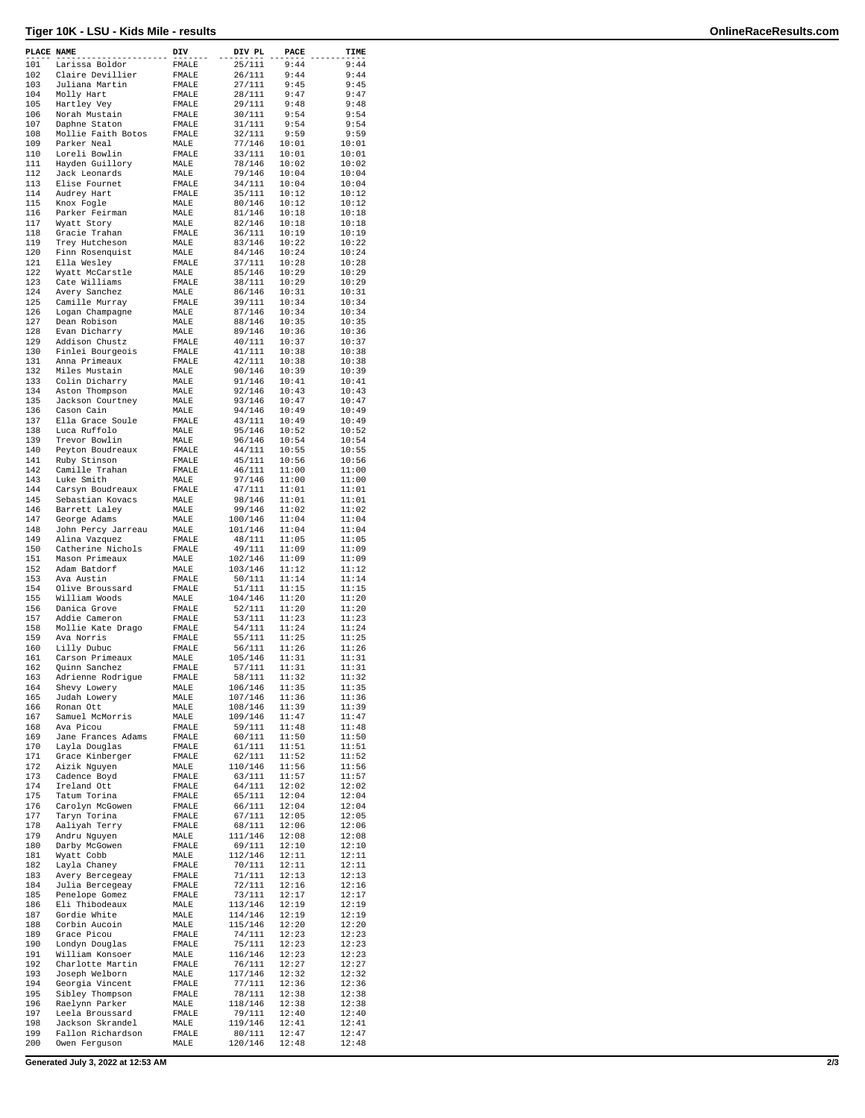## **Tiger 10K - LSU - Kids Mile - results OnlineRaceResults.com**

| PLACE NAME |                                   | DIV            | DIV PL             | PACE           | TIME           |
|------------|-----------------------------------|----------------|--------------------|----------------|----------------|
| 101        | Larissa Boldor                    | FMALE          | 25/111             | 9:44           | 9:44           |
| 102        | Claire Devillier                  | FMALE          | 26/111             | 9:44           | 9:44           |
| 103        | Juliana Martin                    | FMALE          | 27/111<br>28/111   | 9:45           | 9:45           |
| 104<br>105 | Molly Hart<br>Hartley Vey         | FMALE<br>FMALE | 29/111             | 9:47<br>9:48   | 9:47<br>9:48   |
| 106        | Norah Mustain                     | FMALE          | 30/111             | 9:54           | 9:54           |
| 107        | Daphne Staton                     | ${\tt FMALE}$  | 31/111             | 9:54           | 9:54           |
| 108        | Mollie Faith Botos                | FMALE          | 32/111             | 9:59           | 9:59           |
| 109        | Parker Neal                       | MALE           | 77/146             | 10:01          | 10:01          |
| 110        | Loreli Bowlin                     | FMALE          | 33/111             | 10:01          | 10:01          |
| 111        | Hayden Guillory                   | MALE           | 78/146             | 10:02          | 10:02          |
| 112        | Jack Leonards                     | MALE           | 79/146             | 10:04          | 10:04          |
| 113<br>114 | Elise Fournet<br>Audrey Hart      | FMALE<br>FMALE | 34/111<br>35/111   | 10:04<br>10:12 | 10:04<br>10:12 |
| 115        | Knox Fogle                        | MALE           | 80/146             | 10:12          | 10:12          |
| 116        | Parker Feirman                    | MALE           | 81/146             | 10:18          | 10:18          |
| 117        | Wyatt Story                       | MALE           | 82/146             | 10:18          | 10:18          |
| 118        | Gracie Trahan                     | FMALE          | 36/111             | 10:19          | 10:19          |
| 119        | Trey Hutcheson                    | MALE           | 83/146             | 10:22          | 10:22          |
| 120        | Finn Rosenquist                   | MALE           | 84/146             | 10:24          | 10:24          |
| 121        | Ella Wesley                       | FMALE          | 37/111             | 10:28          | 10:28          |
| 122<br>123 | Wyatt McCarstle<br>Cate Williams  | MALE<br>FMALE  | 85/146<br>38/111   | 10:29<br>10:29 | 10:29<br>10:29 |
| 124        | Avery Sanchez                     | MALE           | 86/146             | 10:31          | 10:31          |
| 125        | Camille Murray                    | FMALE          | 39/111             | 10:34          | 10:34          |
| 126        | Logan Champagne                   | MALE           | 87/146             | 10:34          | 10:34          |
| 127        | Dean Robison                      | MALE           | 88/146             | 10:35          | 10:35          |
| 128        | Evan Dicharry                     | MALE           | 89/146             | 10:36          | 10:36          |
| 129        | Addison Chustz                    | FMALE          | 40/111             | 10:37          | 10:37          |
| 130        | Finlei Bourgeois                  | FMALE          | 41/111             | 10:38          | 10:38          |
| 131<br>132 | Anna Primeaux<br>Miles Mustain    | FMALE          | 42/111<br>90/146   | 10:38<br>10:39 | 10:38<br>10:39 |
| 133        | Colin Dicharry                    | MALE<br>MALE   | 91/146             | 10:41          | 10:41          |
| 134        | Aston Thompson                    | MALE           | 92/146             | 10:43          | 10:43          |
| 135        | Jackson Courtney                  | MALE           | 93/146             | 10:47          | 10:47          |
| 136        | Cason Cain                        | MALE           | 94/146             | 10:49          | 10:49          |
| 137        | Ella Grace Soule                  | FMALE          | 43/111             | 10:49          | 10:49          |
| 138        | Luca Ruffolo                      | MALE           | 95/146             | 10:52          | 10:52          |
| 139        | Trevor Bowlin                     | MALE           | 96/146             | 10:54          | 10:54          |
| 140        | Peyton Boudreaux                  | FMALE          | 44/111             | 10:55          | 10:55          |
| 141        | Ruby Stinson                      | FMALE          | 45/111             | 10:56          | 10:56          |
| 142<br>143 | Camille Trahan<br>Luke Smith      | FMALE<br>MALE  | 46/111<br>97/146   | 11:00<br>11:00 | 11:00<br>11:00 |
| 144        | Carsyn Boudreaux                  | FMALE          | 47/111             | 11:01          | 11:01          |
| 145        | Sebastian Kovacs                  | MALE           | 98/146             | 11:01          | 11:01          |
| 146        | Barrett Laley                     | MALE           | 99/146             | 11:02          | 11:02          |
| 147        | George Adams                      | MALE           | 100/146            | 11:04          | 11:04          |
| 148        | John Percy Jarreau                | MALE           | 101/146            | 11:04          | 11:04          |
| 149        | Alina Vazquez                     | FMALE          | 48/111             | 11:05          | 11:05          |
| 150        | Catherine Nichols                 | FMALE          | 49/111             | 11:09          | 11:09          |
| 151<br>152 | Mason Primeaux<br>Adam Batdorf    | MALE<br>MALE   | 102/146<br>103/146 | 11:09<br>11:12 | 11:09<br>11:12 |
| 153        | Ava Austin                        | FMALE          | 50/111             | 11:14          | 11:14          |
| 154        | Olive Broussard                   | FMALE          | 51/111             | 11:15          | 11:15          |
| 155        | William Woods                     | MALE           | 104/146            | 11:20          | 11:20          |
| 156        | Danica Grove                      | FMALE          | 52/111             | 11:20          | 11:20          |
| 157        | Addie Cameron                     | FMALE          | 53/111             | 11:23          | 11:23          |
| 158        | Mollie Kate Drago                 | FMALE          | 54/111             | 11:24          | 11:24          |
| 159<br>160 | Ava Norris                        | FMALE          | 55/111             | 11:25          | 11:25<br>11:26 |
| 161        | Lilly Dubuc<br>Carson Primeaux    | FMALE<br>MALE  | 56/111<br>105/146  | 11:26<br>11:31 | 11:31          |
| 162        | Quinn Sanchez                     | <b>FMALE</b>   | 57/111             | 11:31          | 11:31          |
| 163        | Adrienne Rodrigue                 | FMALE          | 58/111             | 11:32          | 11:32          |
| 164        | Shevy Lowery                      | MALE           | 106/146            | 11:35          | 11:35          |
| 165        | Judah Lowery                      | MALE           | 107/146            | 11:36          | 11:36          |
| 166        | Ronan Ott                         | MALE           | 108/146            | 11:39          | 11:39          |
| 167        | Samuel McMorris                   | MALE           | 109/146            | 11:47          | 11:47          |
| 168<br>169 | Ava Picou<br>Jane Frances Adams   | FMALE<br>FMALE | 59/111<br>60/111   | 11:48<br>11:50 | 11:48<br>11:50 |
| 170        | Layla Douglas                     | FMALE          | 61/111             | 11:51          | 11:51          |
| 171        | Grace Kinberger                   | FMALE          | 62/111             | 11:52          | 11:52          |
| 172        | Aizik Nguyen                      | MALE           | 110/146            | 11:56          | 11:56          |
| 173        | Cadence Boyd                      | FMALE          | 63/111             | 11:57          | 11:57          |
| 174        | Ireland Ott                       | FMALE          | 64/111             | 12:02          | 12:02          |
| 175        | Tatum Torina                      | FMALE          | 65/111             | 12:04          | 12:04          |
| 176        | Carolyn McGowen                   | FMALE          | 66/111             | 12:04          | 12:04          |
| 177<br>178 | Taryn Torina<br>Aaliyah Terry     | FMALE<br>FMALE | 67/111<br>68/111   | 12:05<br>12:06 | 12:05<br>12:06 |
| 179        | Andru Nguyen                      | MALE           | 111/146            | 12:08          | 12:08          |
| 180        | Darby McGowen                     | FMALE          | 69/111             | 12:10          | 12:10          |
| 181        | Wyatt Cobb                        | MALE           | 112/146            | 12:11          | 12:11          |
| 182        | Layla Chaney                      | FMALE          | 70/111             | 12:11          | 12:11          |
| 183        | Avery Bercegeay                   | FMALE          | 71/111             | 12:13          | 12:13          |
| 184        | Julia Bercegeay                   | FMALE          | 72/111             | 12:16          | 12:16          |
| 185        | Penelope Gomez                    | FMALE          | 73/111             | 12:17          | 12:17          |
| 186<br>187 | Eli Thibodeaux<br>Gordie White    | MALE           | 113/146<br>114/146 | 12:19<br>12:19 | 12:19<br>12:19 |
| 188        | Corbin Aucoin                     | MALE<br>MALE   | 115/146            | 12:20          | 12:20          |
| 189        | Grace Picou                       | FMALE          | 74/111             | 12:23          | 12:23          |
| 190        | Londyn Douglas                    | FMALE          | 75/111             | 12:23          | 12:23          |
| 191        | William Konsoer                   | MALE           | 116/146            | 12:23          | 12:23          |
| 192        | Charlotte Martin                  | FMALE          | 76/111             | 12:27          | 12:27          |
| 193        | Joseph Welborn                    | MALE           | 117/146            | 12:32          | 12:32          |
| 194        | Georgia Vincent                   | FMALE          | 77/111             | 12:36          | 12:36          |
| 195        | Sibley Thompson                   | FMALE          | 78/111             | 12:38          | 12:38          |
| 196<br>197 | Raelynn Parker<br>Leela Broussard | MALE<br>FMALE  | 118/146<br>79/111  | 12:38<br>12:40 | 12:38<br>12:40 |
| 198        | Jackson Skrandel                  | MALE           | 119/146            | 12:41          | 12:41          |
| 199        | Fallon Richardson                 | FMALE          | 80/111             | 12:47          | 12:47          |
| 200        | Owen Ferguson                     | MALE           | 120/146            | 12:48          | 12:48          |
|            |                                   |                |                    |                |                |